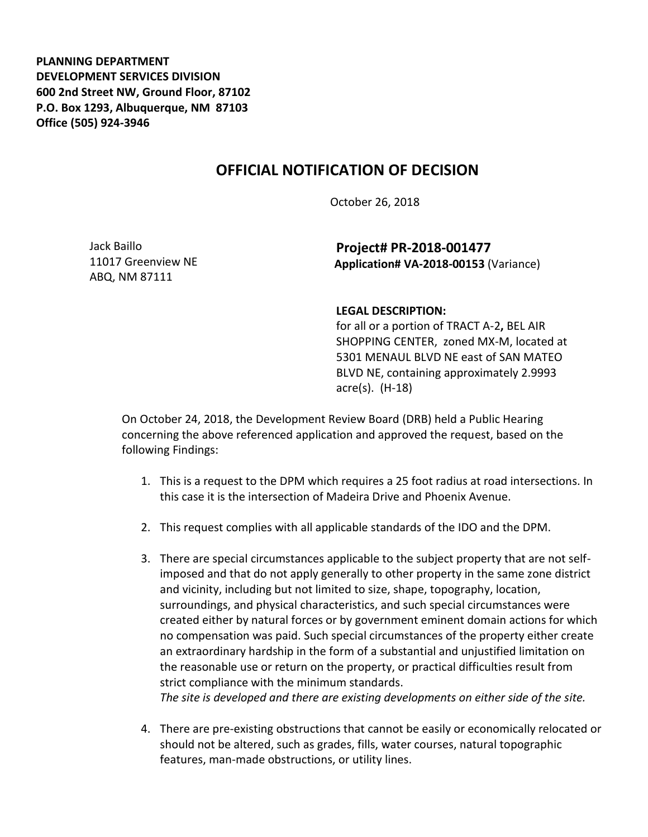**PLANNING DEPARTMENT DEVELOPMENT SERVICES DIVISION 600 2nd Street NW, Ground Floor, 87102 P.O. Box 1293, Albuquerque, NM 87103 Office (505) 924-3946** 

## **OFFICIAL NOTIFICATION OF DECISION**

October 26, 2018

Jack Baillo 11017 Greenview NE ABQ, NM 87111

**Project# PR-2018-001477 Application# VA-2018-00153** (Variance)

## **LEGAL DESCRIPTION:**

for all or a portion of TRACT A-2**,** BEL AIR SHOPPING CENTER, zoned MX-M, located at 5301 MENAUL BLVD NE east of SAN MATEO BLVD NE, containing approximately 2.9993 acre(s). (H-18)

On October 24, 2018, the Development Review Board (DRB) held a Public Hearing concerning the above referenced application and approved the request, based on the following Findings:

- 1. This is a request to the DPM which requires a 25 foot radius at road intersections. In this case it is the intersection of Madeira Drive and Phoenix Avenue.
- 2. This request complies with all applicable standards of the IDO and the DPM.
- 3. There are special circumstances applicable to the subject property that are not selfimposed and that do not apply generally to other property in the same zone district and vicinity, including but not limited to size, shape, topography, location, surroundings, and physical characteristics, and such special circumstances were created either by natural forces or by government eminent domain actions for which no compensation was paid. Such special circumstances of the property either create an extraordinary hardship in the form of a substantial and unjustified limitation on the reasonable use or return on the property, or practical difficulties result from strict compliance with the minimum standards. *The site is developed and there are existing developments on either side of the site.*
- 4. There are pre-existing obstructions that cannot be easily or economically relocated or should not be altered, such as grades, fills, water courses, natural topographic features, man-made obstructions, or utility lines.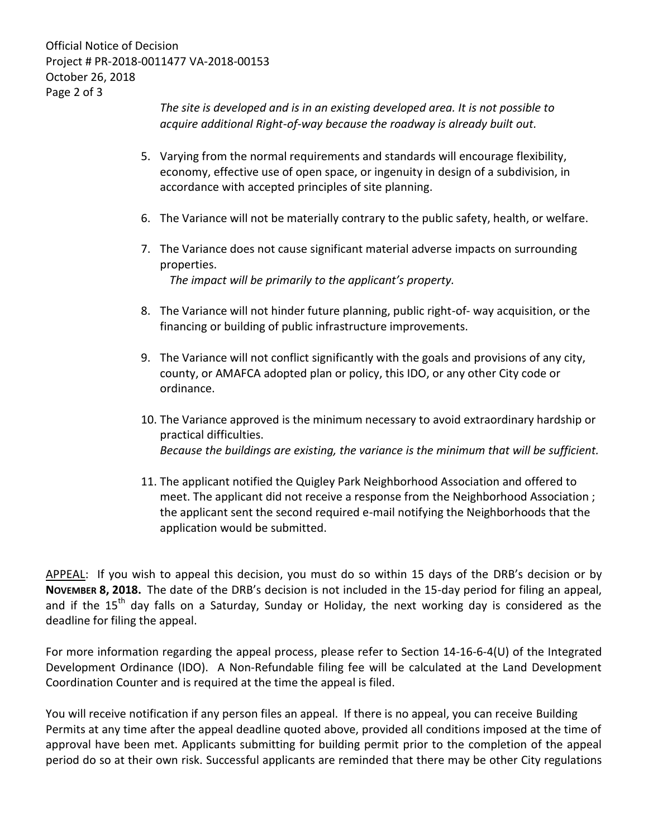Official Notice of Decision Project # PR-2018-0011477 VA-2018-00153 October 26, 2018 Page 2 of 3

> *The site is developed and is in an existing developed area. It is not possible to acquire additional Right-of-way because the roadway is already built out.*

- 5. Varying from the normal requirements and standards will encourage flexibility, economy, effective use of open space, or ingenuity in design of a subdivision, in accordance with accepted principles of site planning.
- 6. The Variance will not be materially contrary to the public safety, health, or welfare.
- 7. The Variance does not cause significant material adverse impacts on surrounding properties. *The impact will be primarily to the applicant's property.*

8. The Variance will not hinder future planning, public right-of- way acquisition, or the financing or building of public infrastructure improvements.

- 9. The Variance will not conflict significantly with the goals and provisions of any city, county, or AMAFCA adopted plan or policy, this IDO, or any other City code or ordinance.
- 10. The Variance approved is the minimum necessary to avoid extraordinary hardship or practical difficulties. *Because the buildings are existing, the variance is the minimum that will be sufficient.*
- 11. The applicant notified the Quigley Park Neighborhood Association and offered to meet. The applicant did not receive a response from the Neighborhood Association ; the applicant sent the second required e-mail notifying the Neighborhoods that the application would be submitted.

APPEAL: If you wish to appeal this decision, you must do so within 15 days of the DRB's decision or by **NOVEMBER 8, 2018.** The date of the DRB's decision is not included in the 15-day period for filing an appeal, and if the  $15<sup>th</sup>$  day falls on a Saturday, Sunday or Holiday, the next working day is considered as the deadline for filing the appeal.

For more information regarding the appeal process, please refer to Section 14-16-6-4(U) of the Integrated Development Ordinance (IDO). A Non-Refundable filing fee will be calculated at the Land Development Coordination Counter and is required at the time the appeal is filed.

You will receive notification if any person files an appeal. If there is no appeal, you can receive Building Permits at any time after the appeal deadline quoted above, provided all conditions imposed at the time of approval have been met. Applicants submitting for building permit prior to the completion of the appeal period do so at their own risk. Successful applicants are reminded that there may be other City regulations